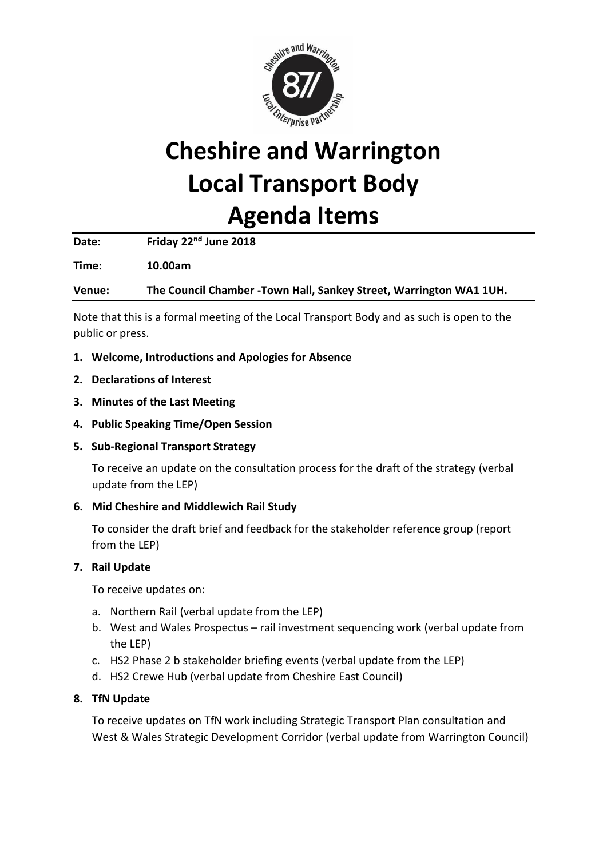

# **Cheshire and Warrington Local Transport Body Agenda Items**

**Date: Friday 22nd June 2018**

**Time: 10.00am**

**Venue: The Council Chamber -Town Hall, Sankey Street, Warrington WA1 1UH.**

Note that this is a formal meeting of the Local Transport Body and as such is open to the public or press.

- **1. Welcome, Introductions and Apologies for Absence**
- **2. Declarations of Interest**
- **3. Minutes of the Last Meeting**
- **4. Public Speaking Time/Open Session**

### **5. Sub-Regional Transport Strategy**

To receive an update on the consultation process for the draft of the strategy (verbal update from the LEP)

### **6. Mid Cheshire and Middlewich Rail Study**

To consider the draft brief and feedback for the stakeholder reference group (report from the LEP)

### **7. Rail Update**

To receive updates on:

- a. Northern Rail (verbal update from the LEP)
- b. West and Wales Prospectus rail investment sequencing work (verbal update from the LEP)
- c. HS2 Phase 2 b stakeholder briefing events (verbal update from the LEP)
- d. HS2 Crewe Hub (verbal update from Cheshire East Council)

### **8. TfN Update**

To receive updates on TfN work including Strategic Transport Plan consultation and West & Wales Strategic Development Corridor (verbal update from Warrington Council)